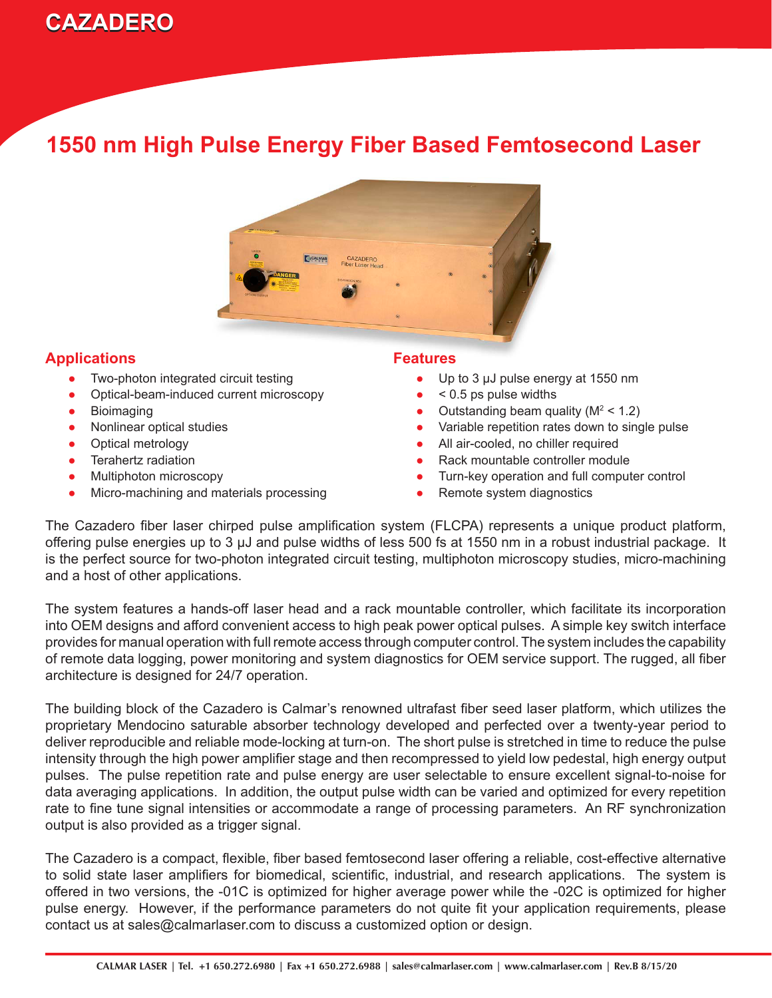

### **1550 nm High Pulse Energy Fiber Based Femtosecond Laser**



### **Applications**

- Two-photon integrated circuit testing ●
- Optical-beam-induced current microscopy ●
- Bioimaging
- Nonlinear optical studies
- Optical metrology
- Terahertz radiation ●
- Multiphoton microscopy
- Micro-machining and materials processing ●

#### **Features**

- Up to 3  $\mu$ J pulse energy at 1550 nm ●
- $\bullet \quad$  < 0.5 ps pulse widths
- Outstanding beam quality ( $M^2$  < 1.2)
- Variable repetition rates down to single pulse ●
- All air-cooled, no chiller required ●
- Rack mountable controller module ●
- Turn-key operation and full computer control ●
- Remote system diagnostics ●

The Cazadero fiber laser chirped pulse amplification system (FLCPA) represents a unique product platform, offering pulse energies up to 3 µJ and pulse widths of less 500 fs at 1550 nm in a robust industrial package. It is the perfect source for two-photon integrated circuit testing, multiphoton microscopy studies, micro-machining and a host of other applications.

The system features a hands-off laser head and a rack mountable controller, which facilitate its incorporation into OEM designs and afford convenient access to high peak power optical pulses. A simple key switch interface provides for manual operation with full remote access through computer control. The system includes the capability of remote data logging, power monitoring and system diagnostics for OEM service support. The rugged, all fiber architecture is designed for 24/7 operation.

The building block of the Cazadero is Calmar's renowned ultrafast fiber seed laser platform, which utilizes the proprietary Mendocino saturable absorber technology developed and perfected over a twenty-year period to deliver reproducible and reliable mode-locking at turn-on. The short pulse is stretched in time to reduce the pulse intensity through the high power amplifier stage and then recompressed to yield low pedestal, high energy output pulses. The pulse repetition rate and pulse energy are user selectable to ensure excellent signal-to-noise for data averaging applications. In addition, the output pulse width can be varied and optimized for every repetition rate to fine tune signal intensities or accommodate a range of processing parameters. An RF synchronization output is also provided as a trigger signal.

The Cazadero is a compact, flexible, fiber based femtosecond laser offering a reliable, cost-effective alternative to solid state laser amplifiers for biomedical, scientific, industrial, and research applications. The system is offered in two versions, the -01C is optimized for higher average power while the -02C is optimized for higher pulse energy. However, if the performance parameters do not quite fit your application requirements, please contact us at sales@calmarlaser.com to discuss a customized option or design.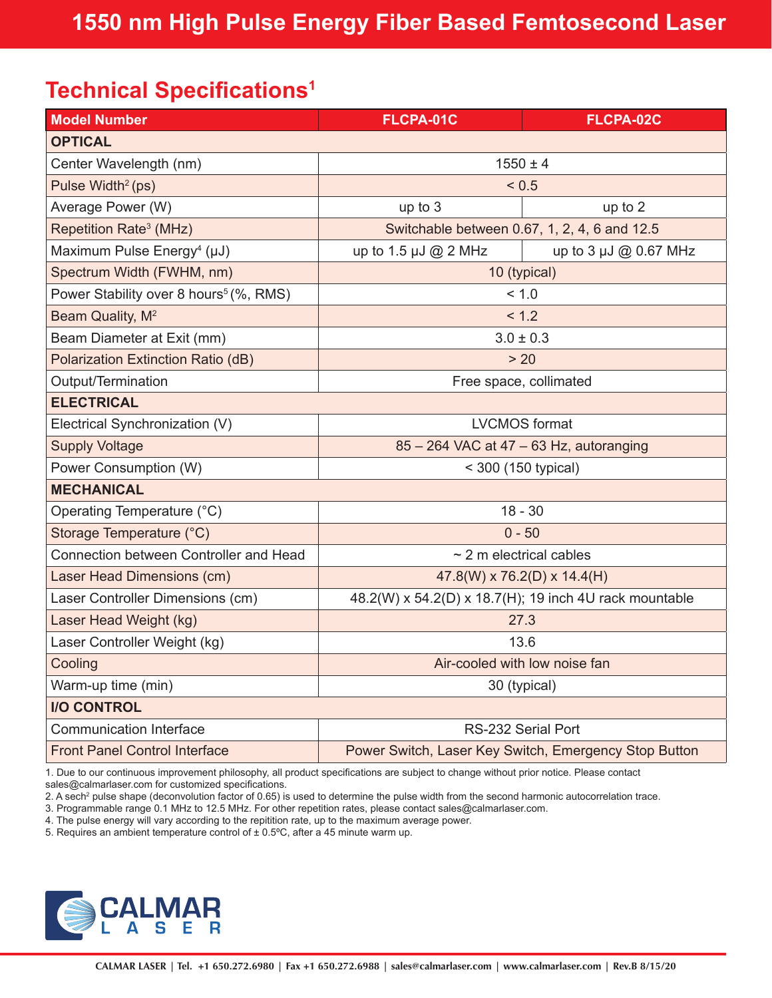## **Technical Specifications<sup>1</sup>**

| <b>Model Number</b>                                | FLCPA-01C                                              | FLCPA-02C             |
|----------------------------------------------------|--------------------------------------------------------|-----------------------|
| <b>OPTICAL</b>                                     |                                                        |                       |
| Center Wavelength (nm)                             | $1550 \pm 4$                                           |                       |
| Pulse Width <sup>2</sup> (ps)                      | < 0.5                                                  |                       |
| Average Power (W)                                  | up to 3                                                | up to 2               |
| Repetition Rate <sup>3</sup> (MHz)                 | Switchable between 0.67, 1, 2, 4, 6 and 12.5           |                       |
| Maximum Pulse Energy <sup>4</sup> (µJ)             | up to 1.5 $\mu$ J @ 2 MHz                              | up to 3 µJ @ 0.67 MHz |
| Spectrum Width (FWHM, nm)                          | 10 (typical)                                           |                       |
| Power Stability over 8 hours <sup>5</sup> (%, RMS) | < 1.0                                                  |                       |
| Beam Quality, M <sup>2</sup>                       | < 1.2                                                  |                       |
| Beam Diameter at Exit (mm)                         | $3.0 \pm 0.3$                                          |                       |
| Polarization Extinction Ratio (dB)                 | > 20                                                   |                       |
| Output/Termination                                 | Free space, collimated                                 |                       |
| <b>ELECTRICAL</b>                                  |                                                        |                       |
| Electrical Synchronization (V)                     | <b>LVCMOS</b> format                                   |                       |
| <b>Supply Voltage</b>                              | 85 - 264 VAC at 47 - 63 Hz, autoranging                |                       |
| Power Consumption (W)                              | < 300 (150 typical)                                    |                       |
| <b>MECHANICAL</b>                                  |                                                        |                       |
| Operating Temperature (°C)                         | $18 - 30$                                              |                       |
| Storage Temperature (°C)                           | $0 - 50$                                               |                       |
| Connection between Controller and Head             | $\sim$ 2 m electrical cables                           |                       |
| Laser Head Dimensions (cm)                         | 47.8(W) x 76.2(D) x 14.4(H)                            |                       |
| Laser Controller Dimensions (cm)                   | 48.2(W) x 54.2(D) x 18.7(H); 19 inch 4U rack mountable |                       |
| Laser Head Weight (kg)                             | 27.3                                                   |                       |
| Laser Controller Weight (kg)                       | 13.6                                                   |                       |
| Cooling                                            | Air-cooled with low noise fan                          |                       |
| Warm-up time (min)                                 | 30 (typical)                                           |                       |
| <b>I/O CONTROL</b>                                 |                                                        |                       |
| <b>Communication Interface</b>                     | RS-232 Serial Port                                     |                       |
| <b>Front Panel Control Interface</b>               | Power Switch, Laser Key Switch, Emergency Stop Button  |                       |

1. Due to our continuous improvement philosophy, all product specifications are subject to change without prior notice. Please contact sales@calmarlaser.com for customized specifications.

2. A sech<sup>2</sup> pulse shape (deconvolution factor of 0.65) is used to determine the pulse width from the second harmonic autocorrelation trace.

3. Programmable range 0.1 MHz to 12.5 MHz. For other repetition rates, please contact sales@calmarlaser.com.

4. The pulse energy will vary according to the repitition rate, up to the maximum average power.

5. Requires an ambient temperature control of  $\pm$  0.5°C, after a 45 minute warm up.